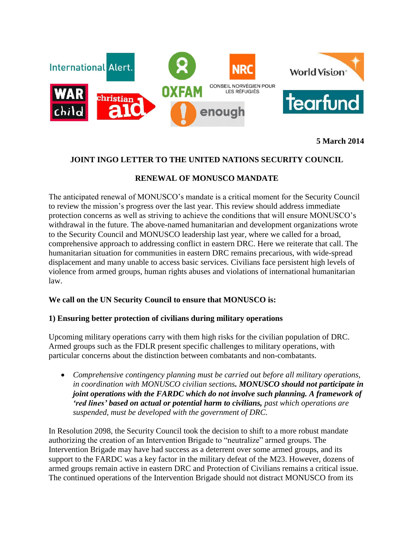

**5 March 2014**

# **JOINT INGO LETTER TO THE UNITED NATIONS SECURITY COUNCIL**

# **RENEWAL OF MONUSCO MANDATE**

The anticipated renewal of MONUSCO's mandate is a critical moment for the Security Council to review the mission's progress over the last year. This review should address immediate protection concerns as well as striving to achieve the conditions that will ensure MONUSCO's withdrawal in the future. The above-named humanitarian and development organizations wrote to the Security Council and MONUSCO leadership last year, where we called for a broad, comprehensive approach to addressing conflict in eastern DRC. Here we reiterate that call. The humanitarian situation for communities in eastern DRC remains precarious, with wide-spread displacement and many unable to access basic services. Civilians face persistent high levels of violence from armed groups, human rights abuses and violations of international humanitarian law.

## **We call on the UN Security Council to ensure that MONUSCO is:**

## **1) Ensuring better protection of civilians during military operations**

Upcoming military operations carry with them high risks for the civilian population of DRC. Armed groups such as the FDLR present specific challenges to military operations, with particular concerns about the distinction between combatants and non-combatants.

 *Comprehensive contingency planning must be carried out before all military operations, in coordination with MONUSCO civilian sections. MONUSCO should not participate in joint operations with the FARDC which do not involve such planning. A framework of 'red lines' based on actual or potential harm to civilians, past which operations are suspended, must be developed with the government of DRC.*

In Resolution 2098, the Security Council took the decision to shift to a more robust mandate authorizing the creation of an Intervention Brigade to "neutralize" armed groups. The Intervention Brigade may have had success as a deterrent over some armed groups, and its support to the FARDC was a key factor in the military defeat of the M23. However, dozens of armed groups remain active in eastern DRC and Protection of Civilians remains a critical issue. The continued operations of the Intervention Brigade should not distract MONUSCO from its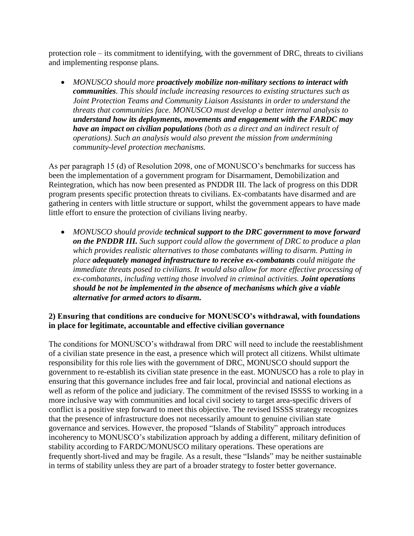protection role – its commitment to identifying, with the government of DRC, threats to civilians and implementing response plans.

 *MONUSCO should more proactively mobilize non-military sections to interact with communities. This should include increasing resources to existing structures such as Joint Protection Teams and Community Liaison Assistants in order to understand the threats that communities face. MONUSCO must develop a better internal analysis to understand how its deployments, movements and engagement with the FARDC may have an impact on civilian populations (both as a direct and an indirect result of operations). Such an analysis would also prevent the mission from undermining community-level protection mechanisms.*

As per paragraph 15 (d) of Resolution 2098, one of MONUSCO's benchmarks for success has been the implementation of a government program for Disarmament, Demobilization and Reintegration, which has now been presented as PNDDR III. The lack of progress on this DDR program presents specific protection threats to civilians. Ex-combatants have disarmed and are gathering in centers with little structure or support, whilst the government appears to have made little effort to ensure the protection of civilians living nearby.

 *MONUSCO should provide technical support to the DRC government to move forward on the PNDDR III. Such support could allow the government of DRC to produce a plan which provides realistic alternatives to those combatants willing to disarm. Putting in place adequately managed infrastructure to receive ex-combatants could mitigate the immediate threats posed to civilians. It would also allow for more effective processing of ex-combatants, including vetting those involved in criminal activities. Joint operations should be not be implemented in the absence of mechanisms which give a viable alternative for armed actors to disarm.*

# **2) Ensuring that conditions are conducive for MONUSCO's withdrawal, with foundations in place for legitimate, accountable and effective civilian governance**

The conditions for MONUSCO's withdrawal from DRC will need to include the reestablishment of a civilian state presence in the east, a presence which will protect all citizens. Whilst ultimate responsibility for this role lies with the government of DRC, MONUSCO should support the government to re-establish its civilian state presence in the east. MONUSCO has a role to play in ensuring that this governance includes free and fair local, provincial and national elections as well as reform of the police and judiciary. The commitment of the revised ISSSS to working in a more inclusive way with communities and local civil society to target area-specific drivers of conflict is a positive step forward to meet this objective. The revised ISSSS strategy recognizes that the presence of infrastructure does not necessarily amount to genuine civilian state governance and services. However, the proposed "Islands of Stability" approach introduces incoherency to MONUSCO's stabilization approach by adding a different, military definition of stability according to FARDC/MONUSCO military operations. These operations are frequently short-lived and may be fragile. As a result, these "Islands" may be neither sustainable in terms of stability unless they are part of a broader strategy to foster better governance.